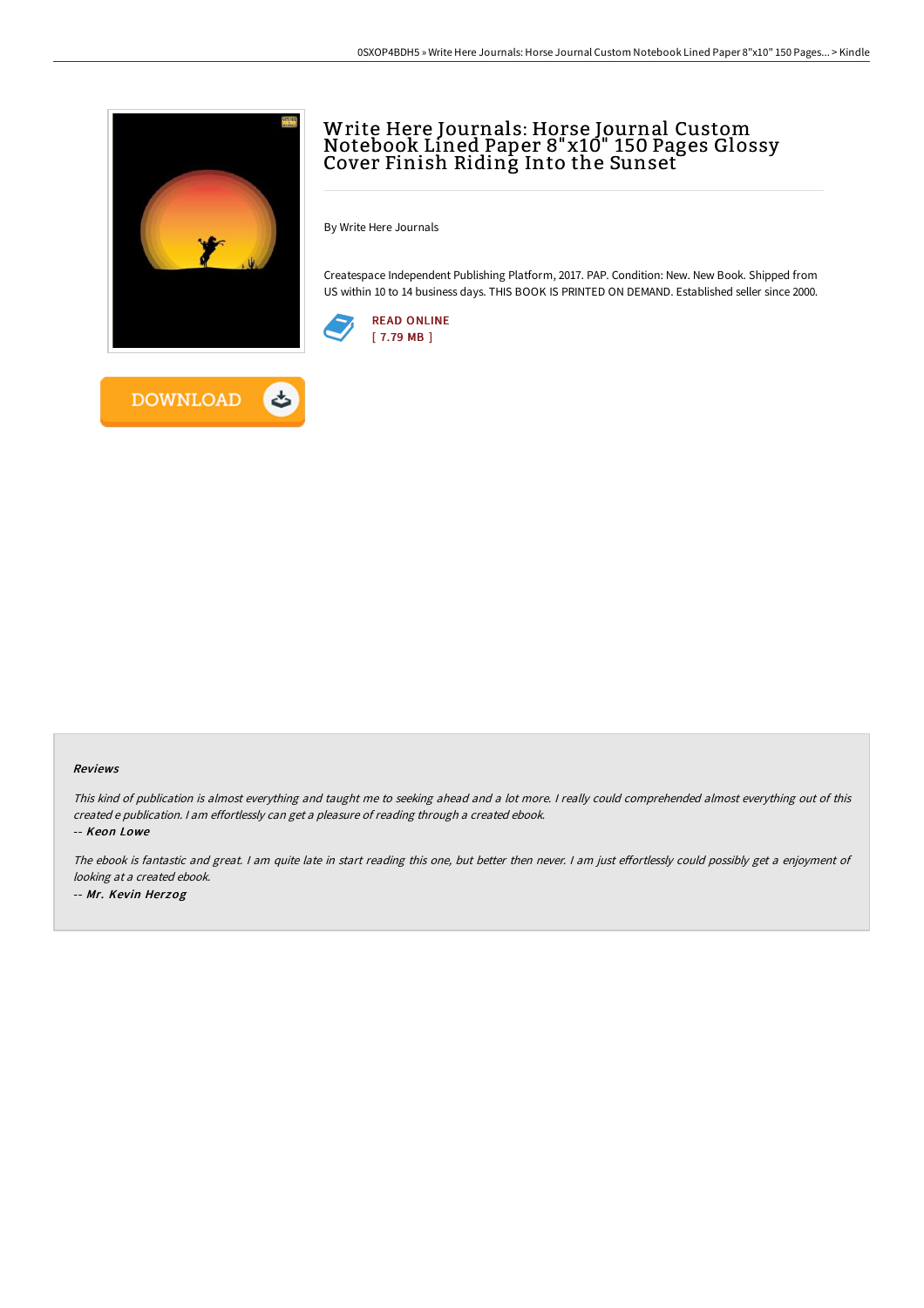

# Write Here Journals: Horse Journal Custom Notebook Lined Paper 8"x10" 150 Pages Glossy Cover Finish Riding Into the Sunset

By Write Here Journals

Createspace Independent Publishing Platform, 2017. PAP. Condition: New. New Book. Shipped from US within 10 to 14 business days. THIS BOOK IS PRINTED ON DEMAND. Established seller since 2000.





#### Reviews

This kind of publication is almost everything and taught me to seeking ahead and <sup>a</sup> lot more. <sup>I</sup> really could comprehended almost everything out of this created <sup>e</sup> publication. <sup>I</sup> am effortlessly can get <sup>a</sup> pleasure of reading through <sup>a</sup> created ebook.

-- Keon Lowe

The ebook is fantastic and great. I am quite late in start reading this one, but better then never. I am just effortlessly could possibly get a enjoyment of looking at <sup>a</sup> created ebook. -- Mr. Kevin Herzog